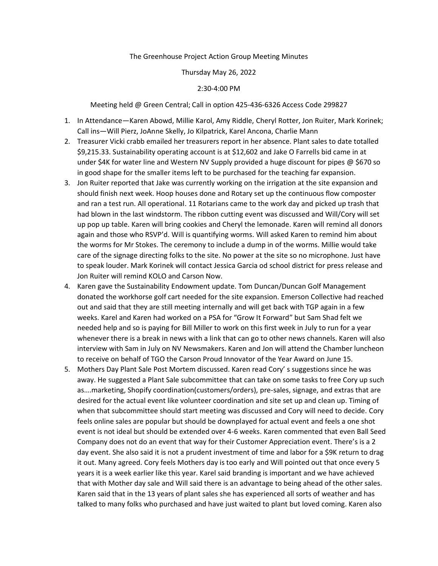## The Greenhouse Project Action Group Meeting Minutes

## Thursday May 26, 2022

## 2:30-4:00 PM

Meeting held @ Green Central; Call in option 425-436-6326 Access Code 299827

- 1. In Attendance—Karen Abowd, Millie Karol, Amy Riddle, Cheryl Rotter, Jon Ruiter, Mark Korinek; Call ins—Will Pierz, JoAnne Skelly, Jo Kilpatrick, Karel Ancona, Charlie Mann
- 2. Treasurer Vicki crabb emailed her treasurers report in her absence. Plant sales to date totalled \$9,215.33. Sustainability operating account is at \$12,602 and Jake O Farrells bid came in at under \$4K for water line and Western NV Supply provided a huge discount for pipes  $\omega$  \$670 so in good shape for the smaller items left to be purchased for the teaching far expansion.
- 3. Jon Ruiter reported that Jake was currently working on the irrigation at the site expansion and should finish next week. Hoop houses done and Rotary set up the continuous flow composter and ran a test run. All operational. 11 Rotarians came to the work day and picked up trash that had blown in the last windstorm. The ribbon cutting event was discussed and Will/Cory will set up pop up table. Karen will bring cookies and Cheryl the lemonade. Karen will remind all donors again and those who RSVP'd. Will is quantifying worms. Will asked Karen to remind him about the worms for Mr Stokes. The ceremony to include a dump in of the worms. Millie would take care of the signage directing folks to the site. No power at the site so no microphone. Just have to speak louder. Mark Korinek will contact Jessica Garcia od school district for press release and Jon Ruiter will remind KOLO and Carson Now.
- 4. Karen gave the Sustainability Endowment update. Tom Duncan/Duncan Golf Management donated the workhorse golf cart needed for the site expansion. Emerson Collective had reached out and said that they are still meeting internally and will get back with TGP again in a few weeks. Karel and Karen had worked on a PSA for "Grow It Forward" but Sam Shad felt we needed help and so is paying for Bill Miller to work on this first week in July to run for a year whenever there is a break in news with a link that can go to other news channels. Karen will also interview with Sam in July on NV Newsmakers. Karen and Jon will attend the Chamber luncheon to receive on behalf of TGO the Carson Proud Innovator of the Year Award on June 15.
- 5. Mothers Day Plant Sale Post Mortem discussed. Karen read Cory' s suggestions since he was away. He suggested a Plant Sale subcommittee that can take on some tasks to free Cory up such as….marketing, Shopify coordination(customers/orders), pre-sales, signage, and extras that are desired for the actual event like volunteer coordination and site set up and clean up. Timing of when that subcommittee should start meeting was discussed and Cory will need to decide. Cory feels online sales are popular but should be downplayed for actual event and feels a one shot event is not ideal but should be extended over 4-6 weeks. Karen commented that even Ball Seed Company does not do an event that way for their Customer Appreciation event. There's is a 2 day event. She also said it is not a prudent investment of time and labor for a \$9K return to drag it out. Many agreed. Cory feels Mothers day is too early and Will pointed out that once every 5 years it is a week earlier like this year. Karel said branding is important and we have achieved that with Mother day sale and Will said there is an advantage to being ahead of the other sales. Karen said that in the 13 years of plant sales she has experienced all sorts of weather and has talked to many folks who purchased and have just waited to plant but loved coming. Karen also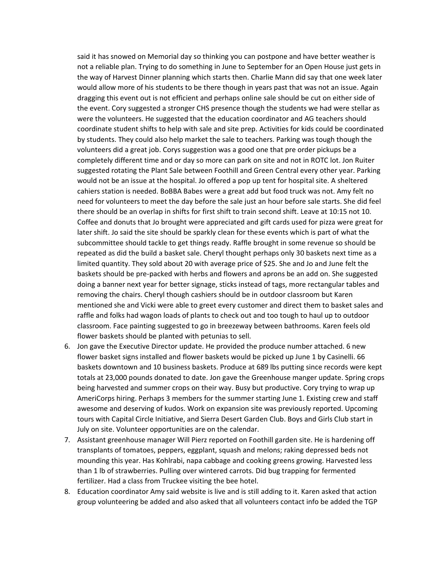said it has snowed on Memorial day so thinking you can postpone and have better weather is not a reliable plan. Trying to do something in June to September for an Open House just gets in the way of Harvest Dinner planning which starts then. Charlie Mann did say that one week later would allow more of his students to be there though in years past that was not an issue. Again dragging this event out is not efficient and perhaps online sale should be cut on either side of the event. Cory suggested a stronger CHS presence though the students we had were stellar as were the volunteers. He suggested that the education coordinator and AG teachers should coordinate student shifts to help with sale and site prep. Activities for kids could be coordinated by students. They could also help market the sale to teachers. Parking was tough though the volunteers did a great job. Corys suggestion was a good one that pre order pickups be a completely different time and or day so more can park on site and not in ROTC lot. Jon Ruiter suggested rotating the Plant Sale between Foothill and Green Central every other year. Parking would not be an issue at the hospital. Jo offered a pop up tent for hospital site. A sheltered cahiers station is needed. BoBBA Babes were a great add but food truck was not. Amy felt no need for volunteers to meet the day before the sale just an hour before sale starts. She did feel there should be an overlap in shifts for first shift to train second shift. Leave at 10:15 not 10. Coffee and donuts that Jo brought were appreciated and gift cards used for pizza were great for later shift. Jo said the site should be sparkly clean for these events which is part of what the subcommittee should tackle to get things ready. Raffle brought in some revenue so should be repeated as did the build a basket sale. Cheryl thought perhaps only 30 baskets next time as a limited quantity. They sold about 20 with average price of \$25. She and Jo and June felt the baskets should be pre-packed with herbs and flowers and aprons be an add on. She suggested doing a banner next year for better signage, sticks instead of tags, more rectangular tables and removing the chairs. Cheryl though cashiers should be in outdoor classroom but Karen mentioned she and Vicki were able to greet every customer and direct them to basket sales and raffle and folks had wagon loads of plants to check out and too tough to haul up to outdoor classroom. Face painting suggested to go in breezeway between bathrooms. Karen feels old flower baskets should be planted with petunias to sell.

- 6. Jon gave the Executive Director update. He provided the produce number attached. 6 new flower basket signs installed and flower baskets would be picked up June 1 by Casinelli. 66 baskets downtown and 10 business baskets. Produce at 689 lbs putting since records were kept totals at 23,000 pounds donated to date. Jon gave the Greenhouse manger update. Spring crops being harvested and summer crops on their way. Busy but productive. Cory trying to wrap up AmeriCorps hiring. Perhaps 3 members for the summer starting June 1. Existing crew and staff awesome and deserving of kudos. Work on expansion site was previously reported. Upcoming tours with Capital Circle Initiative, and Sierra Desert Garden Club. Boys and Girls Club start in July on site. Volunteer opportunities are on the calendar.
- 7. Assistant greenhouse manager Will Pierz reported on Foothill garden site. He is hardening off transplants of tomatoes, peppers, eggplant, squash and melons; raking depressed beds not mounding this year. Has Kohlrabi, napa cabbage and cooking greens growing. Harvested less than 1 lb of strawberries. Pulling over wintered carrots. Did bug trapping for fermented fertilizer. Had a class from Truckee visiting the bee hotel.
- 8. Education coordinator Amy said website is live and is still adding to it. Karen asked that action group volunteering be added and also asked that all volunteers contact info be added the TGP